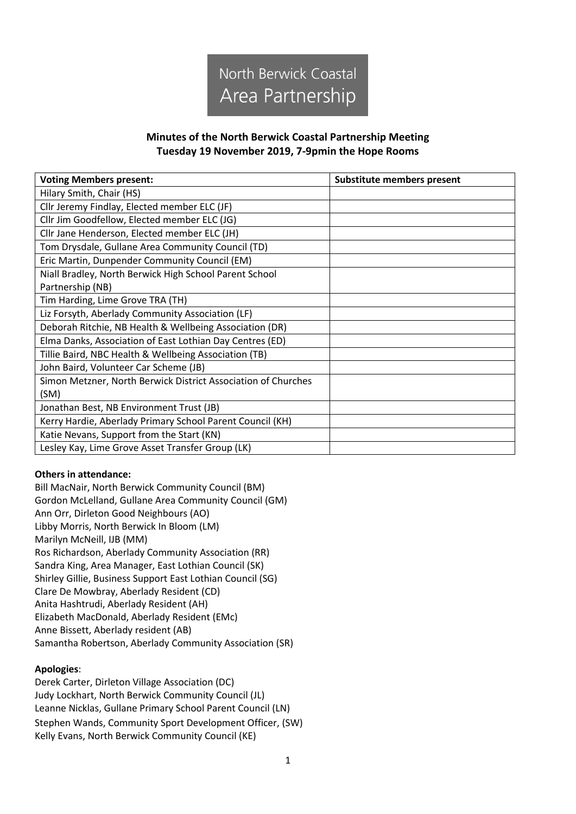

#### **Minutes of the North Berwick Coastal Partnership Meeting Tuesday 19 November 2019, 7-9pmin the Hope Rooms**

| <b>Voting Members present:</b>                                | Substitute members present |
|---------------------------------------------------------------|----------------------------|
| Hilary Smith, Chair (HS)                                      |                            |
| Cllr Jeremy Findlay, Elected member ELC (JF)                  |                            |
| Cllr Jim Goodfellow, Elected member ELC (JG)                  |                            |
| Cllr Jane Henderson, Elected member ELC (JH)                  |                            |
| Tom Drysdale, Gullane Area Community Council (TD)             |                            |
| Eric Martin, Dunpender Community Council (EM)                 |                            |
| Niall Bradley, North Berwick High School Parent School        |                            |
| Partnership (NB)                                              |                            |
| Tim Harding, Lime Grove TRA (TH)                              |                            |
| Liz Forsyth, Aberlady Community Association (LF)              |                            |
| Deborah Ritchie, NB Health & Wellbeing Association (DR)       |                            |
| Elma Danks, Association of East Lothian Day Centres (ED)      |                            |
| Tillie Baird, NBC Health & Wellbeing Association (TB)         |                            |
| John Baird, Volunteer Car Scheme (JB)                         |                            |
| Simon Metzner, North Berwick District Association of Churches |                            |
| (SM)                                                          |                            |
| Jonathan Best, NB Environment Trust (JB)                      |                            |
| Kerry Hardie, Aberlady Primary School Parent Council (KH)     |                            |
| Katie Nevans, Support from the Start (KN)                     |                            |
| Lesley Kay, Lime Grove Asset Transfer Group (LK)              |                            |

#### **Others in attendance:**

Bill MacNair, North Berwick Community Council (BM) Gordon McLelland, Gullane Area Community Council (GM) Ann Orr, Dirleton Good Neighbours (AO) Libby Morris, North Berwick In Bloom (LM) Marilyn McNeill, IJB (MM) Ros Richardson, Aberlady Community Association (RR) Sandra King, Area Manager, East Lothian Council (SK) Shirley Gillie, Business Support East Lothian Council (SG) Clare De Mowbray, Aberlady Resident (CD) Anita Hashtrudi, Aberlady Resident (AH) Elizabeth MacDonald, Aberlady Resident (EMc) Anne Bissett, Aberlady resident (AB) Samantha Robertson, Aberlady Community Association (SR)

#### **Apologies**:

Derek Carter, Dirleton Village Association (DC) Judy Lockhart, North Berwick Community Council (JL) Leanne Nicklas, Gullane Primary School Parent Council (LN) Stephen Wands, Community Sport Development Officer, (SW) Kelly Evans, North Berwick Community Council (KE)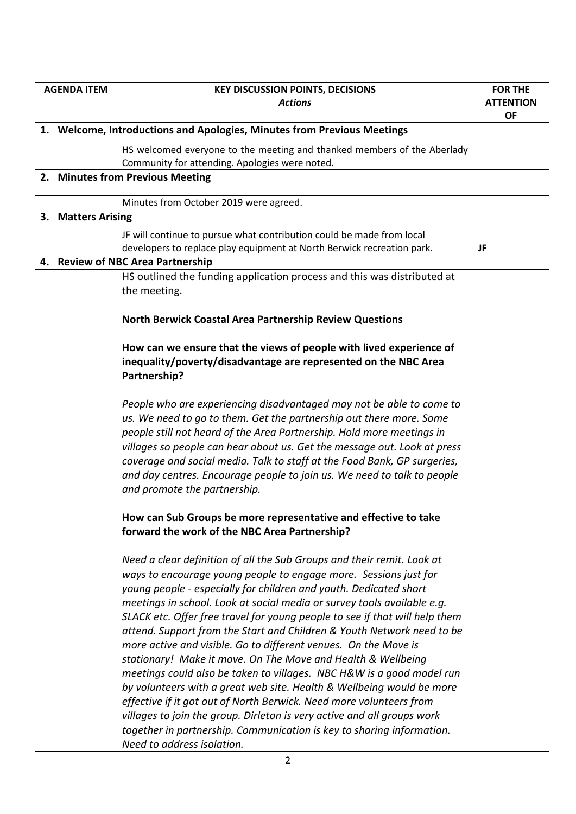|                                                                         | <b>AGENDA ITEM</b> | <b>KEY DISCUSSION POINTS, DECISIONS</b>                                                                                                                                                                                                                                                                                                                                                                                                                                                                                                                                                                                                                                                                                                                                                                                                                                                                                                                                                           | <b>FOR THE</b>                |
|-------------------------------------------------------------------------|--------------------|---------------------------------------------------------------------------------------------------------------------------------------------------------------------------------------------------------------------------------------------------------------------------------------------------------------------------------------------------------------------------------------------------------------------------------------------------------------------------------------------------------------------------------------------------------------------------------------------------------------------------------------------------------------------------------------------------------------------------------------------------------------------------------------------------------------------------------------------------------------------------------------------------------------------------------------------------------------------------------------------------|-------------------------------|
|                                                                         |                    | <b>Actions</b>                                                                                                                                                                                                                                                                                                                                                                                                                                                                                                                                                                                                                                                                                                                                                                                                                                                                                                                                                                                    | <b>ATTENTION</b><br><b>OF</b> |
| 1. Welcome, Introductions and Apologies, Minutes from Previous Meetings |                    |                                                                                                                                                                                                                                                                                                                                                                                                                                                                                                                                                                                                                                                                                                                                                                                                                                                                                                                                                                                                   |                               |
|                                                                         |                    | HS welcomed everyone to the meeting and thanked members of the Aberlady                                                                                                                                                                                                                                                                                                                                                                                                                                                                                                                                                                                                                                                                                                                                                                                                                                                                                                                           |                               |
|                                                                         |                    | Community for attending. Apologies were noted.                                                                                                                                                                                                                                                                                                                                                                                                                                                                                                                                                                                                                                                                                                                                                                                                                                                                                                                                                    |                               |
|                                                                         |                    | 2. Minutes from Previous Meeting                                                                                                                                                                                                                                                                                                                                                                                                                                                                                                                                                                                                                                                                                                                                                                                                                                                                                                                                                                  |                               |
|                                                                         |                    | Minutes from October 2019 were agreed.                                                                                                                                                                                                                                                                                                                                                                                                                                                                                                                                                                                                                                                                                                                                                                                                                                                                                                                                                            |                               |
|                                                                         | 3. Matters Arising |                                                                                                                                                                                                                                                                                                                                                                                                                                                                                                                                                                                                                                                                                                                                                                                                                                                                                                                                                                                                   |                               |
|                                                                         |                    | JF will continue to pursue what contribution could be made from local<br>developers to replace play equipment at North Berwick recreation park.                                                                                                                                                                                                                                                                                                                                                                                                                                                                                                                                                                                                                                                                                                                                                                                                                                                   | JF                            |
|                                                                         |                    | 4. Review of NBC Area Partnership                                                                                                                                                                                                                                                                                                                                                                                                                                                                                                                                                                                                                                                                                                                                                                                                                                                                                                                                                                 |                               |
|                                                                         |                    | HS outlined the funding application process and this was distributed at<br>the meeting.                                                                                                                                                                                                                                                                                                                                                                                                                                                                                                                                                                                                                                                                                                                                                                                                                                                                                                           |                               |
|                                                                         |                    | <b>North Berwick Coastal Area Partnership Review Questions</b>                                                                                                                                                                                                                                                                                                                                                                                                                                                                                                                                                                                                                                                                                                                                                                                                                                                                                                                                    |                               |
|                                                                         |                    | How can we ensure that the views of people with lived experience of<br>inequality/poverty/disadvantage are represented on the NBC Area<br>Partnership?                                                                                                                                                                                                                                                                                                                                                                                                                                                                                                                                                                                                                                                                                                                                                                                                                                            |                               |
|                                                                         |                    | People who are experiencing disadvantaged may not be able to come to<br>us. We need to go to them. Get the partnership out there more. Some<br>people still not heard of the Area Partnership. Hold more meetings in<br>villages so people can hear about us. Get the message out. Look at press<br>coverage and social media. Talk to staff at the Food Bank, GP surgeries,<br>and day centres. Encourage people to join us. We need to talk to people<br>and promote the partnership.                                                                                                                                                                                                                                                                                                                                                                                                                                                                                                           |                               |
|                                                                         |                    | How can Sub Groups be more representative and effective to take<br>forward the work of the NBC Area Partnership?                                                                                                                                                                                                                                                                                                                                                                                                                                                                                                                                                                                                                                                                                                                                                                                                                                                                                  |                               |
|                                                                         |                    | Need a clear definition of all the Sub Groups and their remit. Look at<br>ways to encourage young people to engage more. Sessions just for<br>young people - especially for children and youth. Dedicated short<br>meetings in school. Look at social media or survey tools available e.g.<br>SLACK etc. Offer free travel for young people to see if that will help them<br>attend. Support from the Start and Children & Youth Network need to be<br>more active and visible. Go to different venues. On the Move is<br>stationary! Make it move. On The Move and Health & Wellbeing<br>meetings could also be taken to villages. NBC H&W is a good model run<br>by volunteers with a great web site. Health & Wellbeing would be more<br>effective if it got out of North Berwick. Need more volunteers from<br>villages to join the group. Dirleton is very active and all groups work<br>together in partnership. Communication is key to sharing information.<br>Need to address isolation. |                               |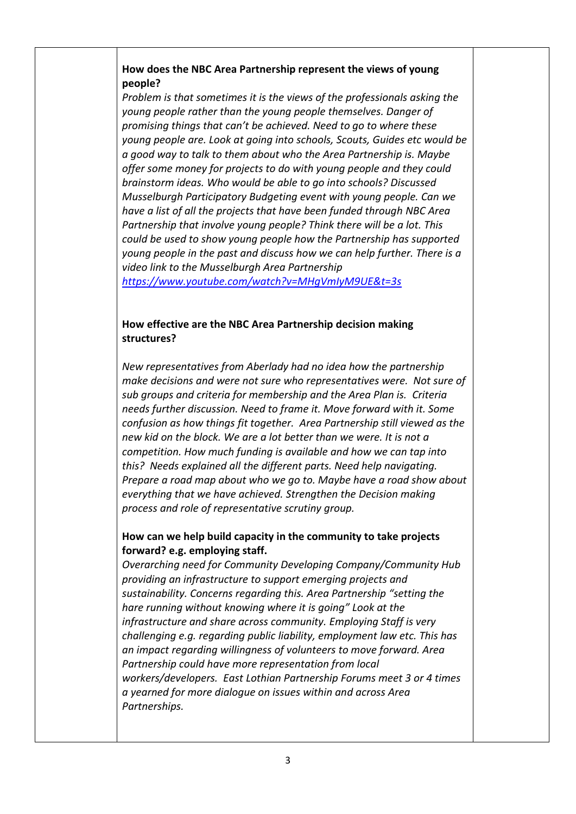# **How does the NBC Area Partnership represent the views of young people?**

*Problem is that sometimes it is the views of the professionals asking the young people rather than the young people themselves. Danger of promising things that can't be achieved. Need to go to where these young people are. Look at going into schools, Scouts, Guides etc would be a good way to talk to them about who the Area Partnership is. Maybe offer some money for projects to do with young people and they could brainstorm ideas. Who would be able to go into schools? Discussed Musselburgh Participatory Budgeting event with young people. Can we have a list of all the projects that have been funded through NBC Area Partnership that involve young people? Think there will be a lot. This could be used to show young people how the Partnership has supported young people in the past and discuss how we can help further. There is a video link to the Musselburgh Area Partnership*

*<https://www.youtube.com/watch?v=MHgVmIyM9UE&t=3s>*

# **How effective are the NBC Area Partnership decision making structures?**

*New representatives from Aberlady had no idea how the partnership make decisions and were not sure who representatives were. Not sure of sub groups and criteria for membership and the Area Plan is. Criteria needs further discussion. Need to frame it. Move forward with it. Some confusion as how things fit together. Area Partnership still viewed as the new kid on the block. We are a lot better than we were. It is not a competition. How much funding is available and how we can tap into this? Needs explained all the different parts. Need help navigating. Prepare a road map about who we go to. Maybe have a road show about everything that we have achieved. Strengthen the Decision making process and role of representative scrutiny group.* 

# **How can we help build capacity in the community to take projects forward? e.g. employing staff.**

*Overarching need for Community Developing Company/Community Hub providing an infrastructure to support emerging projects and sustainability. Concerns regarding this. Area Partnership "setting the hare running without knowing where it is going" Look at the infrastructure and share across community. Employing Staff is very challenging e.g. regarding public liability, employment law etc. This has an impact regarding willingness of volunteers to move forward. Area Partnership could have more representation from local workers/developers. East Lothian Partnership Forums meet 3 or 4 times a yearned for more dialogue on issues within and across Area Partnerships.*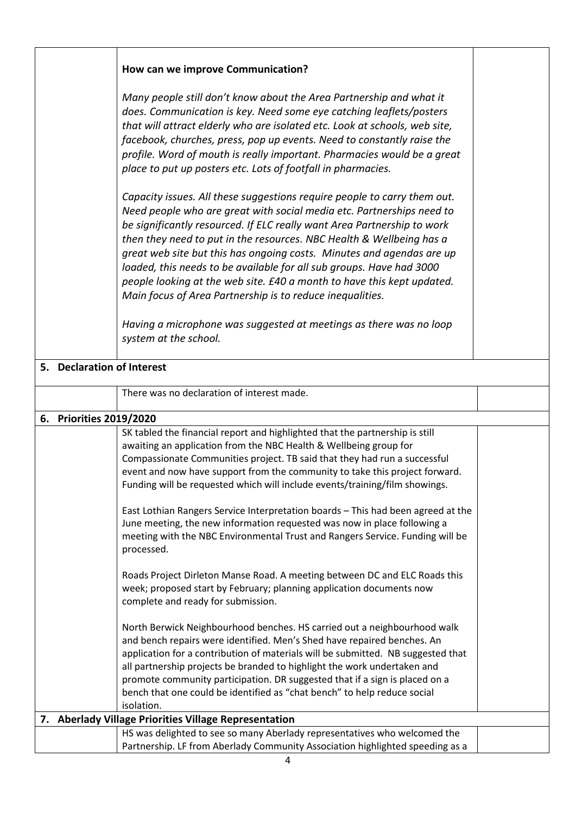|                                                       | How can we improve Communication?                                                                                                                                                                                                                                                                                                                                                                                                                                                                                                                                                                                                                                  |  |  |
|-------------------------------------------------------|--------------------------------------------------------------------------------------------------------------------------------------------------------------------------------------------------------------------------------------------------------------------------------------------------------------------------------------------------------------------------------------------------------------------------------------------------------------------------------------------------------------------------------------------------------------------------------------------------------------------------------------------------------------------|--|--|
|                                                       | Many people still don't know about the Area Partnership and what it<br>does. Communication is key. Need some eye catching leaflets/posters<br>that will attract elderly who are isolated etc. Look at schools, web site,<br>facebook, churches, press, pop up events. Need to constantly raise the<br>profile. Word of mouth is really important. Pharmacies would be a great<br>place to put up posters etc. Lots of footfall in pharmacies.                                                                                                                                                                                                                      |  |  |
|                                                       | Capacity issues. All these suggestions require people to carry them out.<br>Need people who are great with social media etc. Partnerships need to<br>be significantly resourced. If ELC really want Area Partnership to work<br>then they need to put in the resources. NBC Health & Wellbeing has a<br>great web site but this has ongoing costs. Minutes and agendas are up<br>loaded, this needs to be available for all sub groups. Have had 3000<br>people looking at the web site. £40 a month to have this kept updated.<br>Main focus of Area Partnership is to reduce inequalities.<br>Having a microphone was suggested at meetings as there was no loop |  |  |
|                                                       | system at the school.                                                                                                                                                                                                                                                                                                                                                                                                                                                                                                                                                                                                                                              |  |  |
| 5. Declaration of Interest                            |                                                                                                                                                                                                                                                                                                                                                                                                                                                                                                                                                                                                                                                                    |  |  |
|                                                       | There was no declaration of interest made.                                                                                                                                                                                                                                                                                                                                                                                                                                                                                                                                                                                                                         |  |  |
| 6. Priorities 2019/2020                               |                                                                                                                                                                                                                                                                                                                                                                                                                                                                                                                                                                                                                                                                    |  |  |
|                                                       | SK tabled the financial report and highlighted that the partnership is still<br>awaiting an application from the NBC Health & Wellbeing group for<br>Compassionate Communities project. TB said that they had run a successful<br>event and now have support from the community to take this project forward.<br>Funding will be requested which will include events/training/film showings.<br>East Lothian Rangers Service Interpretation boards - This had been agreed at the<br>June meeting, the new information requested was now in place following a                                                                                                       |  |  |
|                                                       | meeting with the NBC Environmental Trust and Rangers Service. Funding will be<br>processed.                                                                                                                                                                                                                                                                                                                                                                                                                                                                                                                                                                        |  |  |
|                                                       | Roads Project Dirleton Manse Road. A meeting between DC and ELC Roads this<br>week; proposed start by February; planning application documents now<br>complete and ready for submission.                                                                                                                                                                                                                                                                                                                                                                                                                                                                           |  |  |
|                                                       | North Berwick Neighbourhood benches. HS carried out a neighbourhood walk<br>and bench repairs were identified. Men's Shed have repaired benches. An<br>application for a contribution of materials will be submitted. NB suggested that<br>all partnership projects be branded to highlight the work undertaken and<br>promote community participation. DR suggested that if a sign is placed on a<br>bench that one could be identified as "chat bench" to help reduce social<br>isolation.                                                                                                                                                                       |  |  |
| 7. Aberlady Village Priorities Village Representation |                                                                                                                                                                                                                                                                                                                                                                                                                                                                                                                                                                                                                                                                    |  |  |
|                                                       | HS was delighted to see so many Aberlady representatives who welcomed the<br>Partnership. LF from Aberlady Community Association highlighted speeding as a                                                                                                                                                                                                                                                                                                                                                                                                                                                                                                         |  |  |